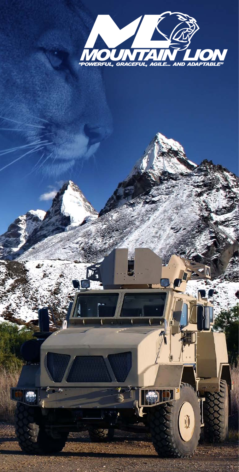

 $\begin{smallmatrix} 6 \ 0 \end{smallmatrix}$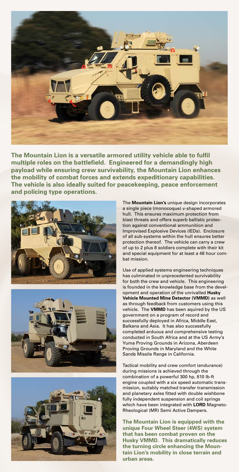

**The Mountain Lion is a versatile armored utility vehicle able to fulfil multiple roles on the battlefield. Engineered for a demandingly high payload while ensuring crew survivability, the Mountain Lion enhances the mobility of combat forces and extends expeditionary capabilities. The vehicle is also ideally suited for peacekeeping, peace enforcement and policing type operations.**







The **Mountain Lion's** unique design incorporates a single piece (monocoque) v-shaped armored hull. This ensures maximum protection from blast threats and offers superb ballistic protection against conventional ammunition and Improvised Explosive Devices (IEDs). Enclosure of all sub-systems within the hull ensures better protection thereof. The vehicle can carry a crew of up to 2 plus 8 soldiers complete with their kit and special equipment for at least a 48 hour combat mission.

Use of applied systems engineering techniques has culminated in unprecedented survivability for both the crew and vehicle. This engineering is founded in the knowledge base from the development and operation of the unrivalled **Husky Vehicle Mounted Mine Detector (VMMD)** as well as through feedback from customers using this vehicle. The **VMMD** has been aquired by the US government on a program of record and successfully deployed in Africa, Middle East, Balkans and Asia. It has also successfully completed arduous and comprehensive testing conducted in South Africa and at the US Army's Yuma Proving Grounds in Arizona, Aberdeen Proving Grounds in Maryland and the White Sands Missile Range in California.

Tactical mobility and crew comfort (endurance) during missions is achieved through the combination of a powerful 300 hp, 810 lb-ft engine coupled with a six speed automatic transmission, suitably matched transfer transmission and planetary axles fitted with double wishbone fully independent suspension and coil springs which have been integrated with **LORD** Magneto-Rheological (MR) Semi Active Dampers.

**The Mountain Lion is equipped with the unique Four Wheel Steer (4WS) system that has been combat proven on the Husky VMMD. This dramatically reduces the turning circle enhancing the Mountain Lion's mobility in close terrain and urban areas.**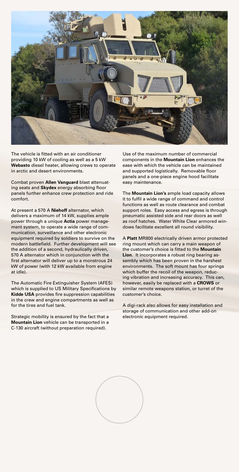

The vehicle is fitted with an air conditioner providing 10 kW of cooling as well as a 5 kW **Webasto** diesel heater, allowing crews to operate in arctic and desert environments.

Combat proven **Allen Vanguard** blast attenuating seats and **Skydex** energy absorbing floor panels further enhance crew protection and ride comfort.

At present a 570 A **Niehoff** alternator, which delivers a maximum of 14 kW, supplies ample power through a unique **Actia** power management system, to operate a wide range of communication, surveillance and other electronic equipment required by soldiers to survive on the modern battlefield. Further development will see the addition of a second, hydraulically driven, 570 A alternator which in conjunction with the first alternator will deliver up to a monstrous 24 kW of power (with 12 kW available from engine at idle).

The Automatic Fire Extinguisher System (AFES) which is supplied to US Military Specifications by **Kidde USA** provides fire suppression capabilities in the crew and engine compartments as well as for the tires and fuel tank.

Strategic mobility is ensured by the fact that a **Mountain Lion** vehicle can be transported in a C-130 aircraft (without preparation required).

Use of the maximum number of commercial components in the **Mountain Lion** enhances the ease with which the vehicle can be maintained and supported logistically. Removable floor panels and a one-piece engine hood facilitate easy maintenance.

The **Mountain Lion's** ample load capacity allows it to fulfil a wide range of command and control functions as well as route clearance and combat support roles. Easy access and egress is through pneumatic assisted side and rear doors as well as roof hatches. Water White Clear armored windows facilitate excellent all round visibility.

A **Platt** MR800 electrically driven armor protected ring mount which can carry a main weapon of the customer's choice is fitted to the **Mountain Lion**. It incorporates a robust ring bearing assembly which has been proven in the harshest environments. The soft mount has four springs which buffer the recoil of the weapon, reducing vibration and increasing accuracy. This can, however, easily be replaced with a **CROWS** or similar remote weapons station, or turret of the customer's choice.

A digi-rack also allows for easy installation and storage of communication and other add-on electronic equipment required.

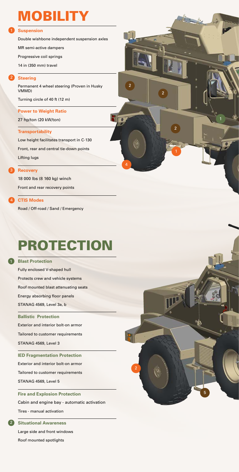# **MOBILITY**

#### 1 Suspension

Double wishbone independent suspension axles

MR semi-active dampers

Progressive coil springs

14 in (350 mm) travel

#### **Steering**

2

Permanent 4 wheel steering (Proven in Husky VMMD)

Turning circle of 40 ft (12 m)

### **Power to Weight Ratio**

27 hp/ton (20 kW/ton)

#### **Transportability**

Low height facilitates transport in C-130 Front, rear and central tie-down points Lifting lugs

4

 $\overline{2}$ 

2

1

#### **Recovery**

3

18 000 lbs (8 160 kg) winch Front and rear recovery points

#### **CTIS Modes** 2

Road / Off-road / Sand / Emergency

# PROTECTION

**Blast Protection** 1 Fully enclosed V-shaped hull Protects crew and vehicle systems Roof mounted blast attenuating seats Energy absorbing floor panels STANAG 4569, Level 3a, b **Ballistic Protection** Exterior and interior bolt-on armor Tailored to customer requirements STANAG 4569, Level 3 **IED Fragmentation Protection** Exterior and interior bolt-on armor Tailored to customer requirements STANAG 4569, Level 5

**Fire and Explosion Protection** Cabin and engine bay - automatic activation Tires - manual activation

**Situational Awareness** 2 Large side and front windows Roof mounted spotlights



1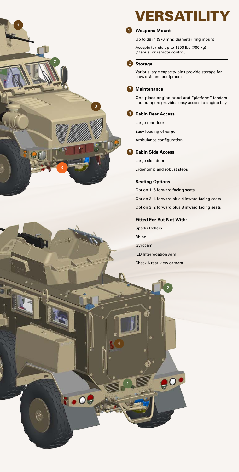

# **VERSATILITY**

#### **Weapons Mount** 1

Up to 38 in (970 mm) diameter ring mount

Accepts turrets up to 1500 lbs (700 kg) (Manual or remote control)

#### **Storage** 2

Various large capacity bins provide storage for crew's kit and equipment

#### **Maintenance** 3

One-piece engine hood and "platform" fenders and bumpers provides easy access to engine bay

#### **Cabin Rear Access** 4

Large rear door

Easy loading of cargo

Ambulance configuration

#### **Cabin Side Access** 5

Large side doors

Ergonomic and robust steps

#### **Seating Options**

Option 1: 6 forward facing seats

Option 2: 4 forward plus 4 inward facing seats

Option 3: 2 forward plus 8 inward facing seats

#### **Fitted For But Not With:**

Sparks Rollers Rhino Gyrocam IED Interrogation Arm Check 6 rear view camera

2

 $e^o$ 

1

4

 $.09$